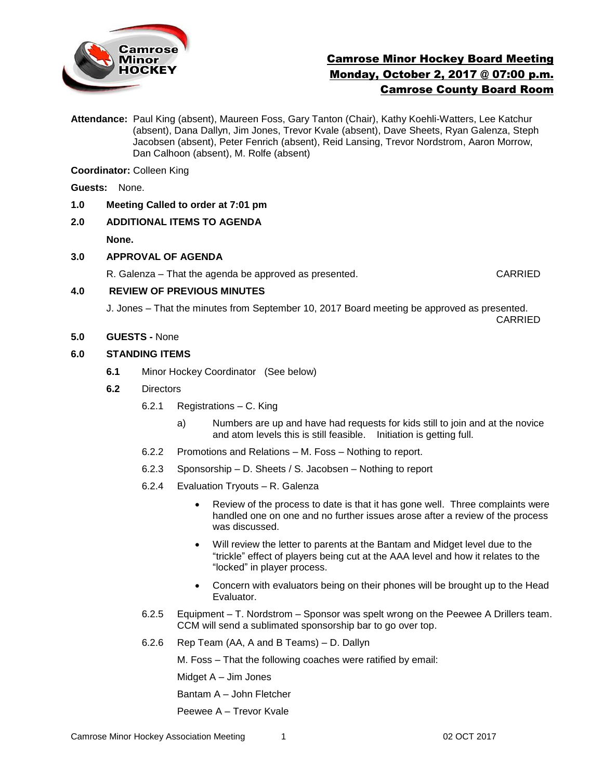

# Camrose Minor Hockey Board Meeting Monday, October 2, 2017 @ 07:00 p.m. Camrose County Board Room

**Attendance:** Paul King (absent), Maureen Foss, Gary Tanton (Chair), Kathy Koehli-Watters, Lee Katchur (absent), Dana Dallyn, Jim Jones, Trevor Kvale (absent), Dave Sheets, Ryan Galenza, Steph Jacobsen (absent), Peter Fenrich (absent), Reid Lansing, Trevor Nordstrom, Aaron Morrow, Dan Calhoon (absent), M. Rolfe (absent)

**Coordinator:** Colleen King

**Guests:** None.

- **1.0 Meeting Called to order at 7:01 pm**
- **2.0 ADDITIONAL ITEMS TO AGENDA**

**None.**

**3.0 APPROVAL OF AGENDA**

R. Galenza – That the agenda be approved as presented. CARRIED

## **4.0 REVIEW OF PREVIOUS MINUTES**

J. Jones – That the minutes from September 10, 2017 Board meeting be approved as presented. CARRIED

**5.0 GUESTS -** None

## **6.0 STANDING ITEMS**

- **6.1** Minor Hockey Coordinator (See below)
- **6.2** Directors
	- 6.2.1 Registrations C. King
		- a)Numbers are up and have had requests for kids still to join and at the novice and atom levels this is still feasible. Initiation is getting full.
	- 6.2.2 Promotions and Relations M. Foss Nothing to report.
	- 6.2.3 Sponsorship D. Sheets / S. Jacobsen Nothing to report
	- 6.2.4 Evaluation Tryouts R. Galenza
		- Review of the process to date is that it has gone well. Three complaints were handled one on one and no further issues arose after a review of the process was discussed.
		- Will review the letter to parents at the Bantam and Midget level due to the "trickle" effect of players being cut at the AAA level and how it relates to the "locked" in player process.
		- Concern with evaluators being on their phones will be brought up to the Head Evaluator.
	- 6.2.5 Equipment T. Nordstrom Sponsor was spelt wrong on the Peewee A Drillers team. CCM will send a sublimated sponsorship bar to go over top.
	- 6.2.6 Rep Team (AA, A and B Teams) D. Dallyn

M. Foss – That the following coaches were ratified by email:

Midget A – Jim Jones

Bantam A – John Fletcher

Peewee A – Trevor Kvale